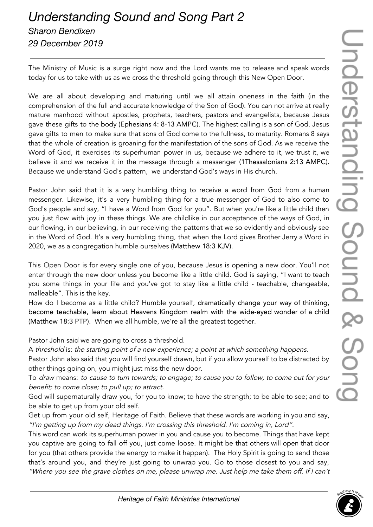## *Understanding Sound and Song Part 2 Sharon Bendixen 29 December 2019*

The Ministry of Music is a surge right now and the Lord wants me to release and speak words today for us to take with us as we cross the threshold going through this New Open Door.

We are all about developing and maturing until we all attain oneness in the faith (in the comprehension of the full and accurate knowledge of the Son of God). You can not arrive at really mature manhood without apostles, prophets, teachers, pastors and evangelists, because Jesus gave these gifts to the body (Ephesians 4: 8-13 AMPC). The highest calling is a son of God. Jesus gave gifts to men to make sure that sons of God come to the fullness, to maturity. Romans 8 says that the whole of creation is groaning for the manifestation of the sons of God. As we receive the Word of God, it exercises its superhuman power in us, because we adhere to it, we trust it, we believe it and we receive it in the message through a messenger (1Thessalonians 2:13 AMPC). Because we understand God's pattern, we understand God's ways in His church.

Pastor John said that it is a very humbling thing to receive a word from God from a human messenger. Likewise, it's a very humbling thing for a true messenger of God to also come to God's people and say, "I have a Word from God for you". But when you're like a little child then you just flow with joy in these things. We are childlike in our acceptance of the ways of God, in our flowing, in our believing, in our receiving the patterns that we so evidently and obviously see in the Word of God. It's a very humbling thing, that when the Lord gives Brother Jerry a Word in 2020, we as a congregation humble ourselves (Matthew 18:3 KJV).

This Open Door is for every single one of you, because Jesus is opening a new door. You'll not enter through the new door unless you become like a little child. God is saying, "I want to teach you some things in your life and you've got to stay like a little child - teachable, changeable, malleable". This is the key.

How do I become as a little child? Humble yourself, dramatically change your way of thinking, become teachable, learn about Heavens Kingdom realm with the wide-eyed wonder of a child (Matthew 18:3 PTP). When we all humble, we're all the greatest together.

Pastor John said we are going to cross a threshold.

A threshold is: the starting point of <sup>a</sup> new experience; <sup>a</sup> point at which something happens.

Pastor John also said that you will find yourself drawn, but if you allow yourself to be distracted by other things going on, you might just miss the new door.

To draw means: to cause to turn towards; to engage; to cause you to follow; to come out for your benefit; to come close; to pull up; to attract.

God will supernaturally draw you, for you to know; to have the strength; to be able to see; and to be able to get up from your old self.

Get up from your old self, Heritage of Faith. Believe that these words are working in you and say, "I'm getting up from my dead things. I'm crossing this threshold. I'm coming in, Lord".

This word can work its superhuman power in you and cause you to become. Things that have kept you captive are going to fall off you, just come loose. It might be that others will open that door for you (that others provide the energy to make it happen). The Holy Spirit is going to send those that's around you, and they're just going to unwrap you. Go to those closest to you and say, "Where you see the grave clothes on me, please unwrap me. Just help me take them off. If <sup>I</sup> can't